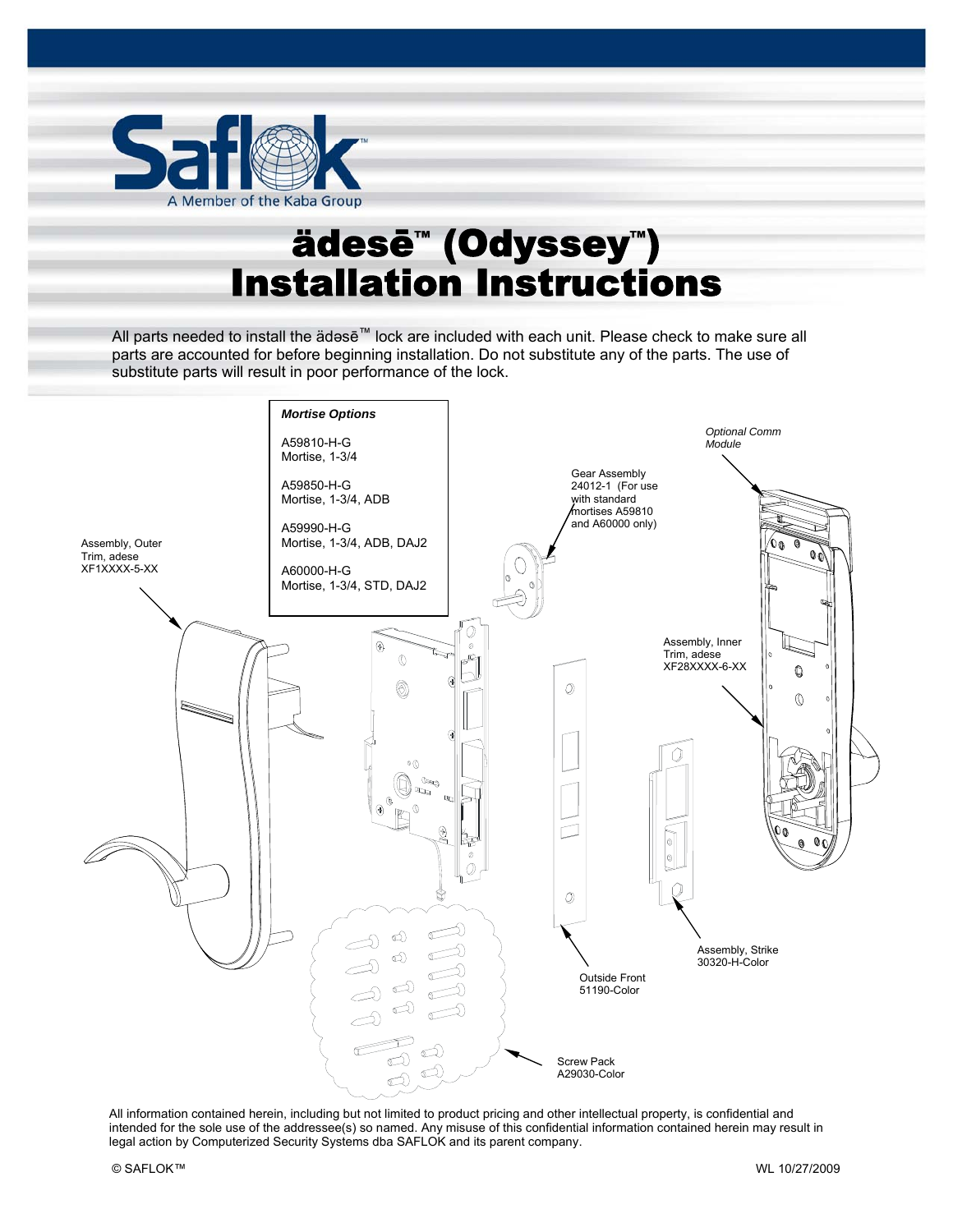

# ädesē™ (Odyssey™) Installation Instructions

ädəsē™ Installation Instructions Pg. 1 of 8

All parts needed to install the ädəsē™ lock are included with each unit. Please check to make sure all parts are accounted for before beginning installation. Do not substitute any of the parts. The use of substitute parts will result in poor performance of the lock.



All information contained herein, including but not limited to product pricing and other intellectual property, is confidential and intended for the sole use of the addressee(s) so named. Any misuse of this confidential information contained herein may result in legal action by Computerized Security Systems dba SAFLOK and its parent company.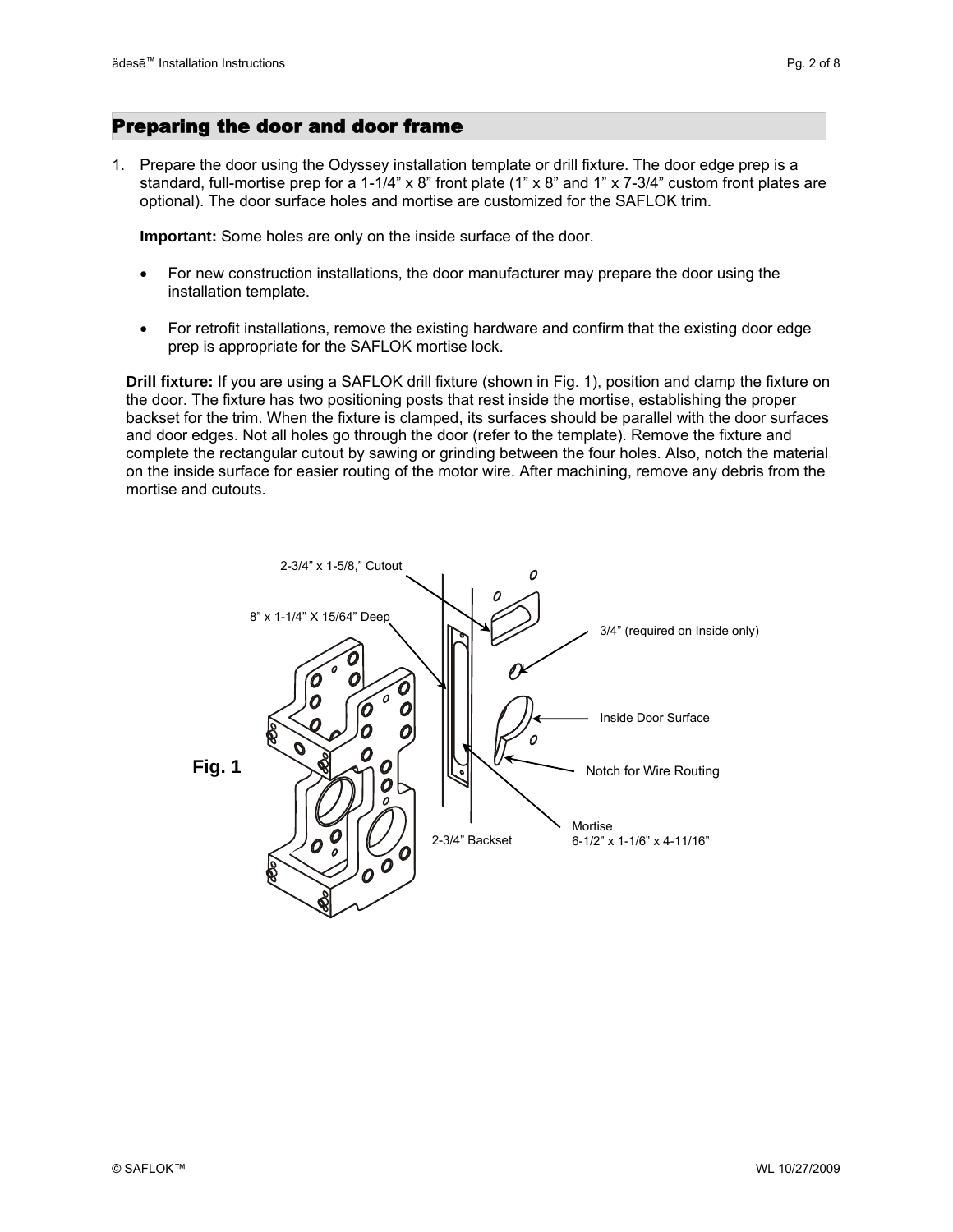1. Prepare the door using the Odyssey installation template or drill fixture. The door edge prep is a standard, full-mortise prep for a 1-1/4" x 8" front plate (1" x 8" and 1" x 7-3/4" custom front plates are optional). The door surface holes and mortise are customized for the SAFLOK trim.

**Important:** Some holes are only on the inside surface of the door.

- For new construction installations, the door manufacturer may prepare the door using the installation template.
- For retrofit installations, remove the existing hardware and confirm that the existing door edge prep is appropriate for the SAFLOK mortise lock.

**Drill fixture:** If you are using a SAFLOK drill fixture (shown in Fig. 1), position and clamp the fixture on the door. The fixture has two positioning posts that rest inside the mortise, establishing the proper backset for the trim. When the fixture is clamped, its surfaces should be parallel with the door surfaces and door edges. Not all holes go through the door (refer to the template). Remove the fixture and complete the rectangular cutout by sawing or grinding between the four holes. Also, notch the material on the inside surface for easier routing of the motor wire. After machining, remove any debris from the mortise and cutouts.

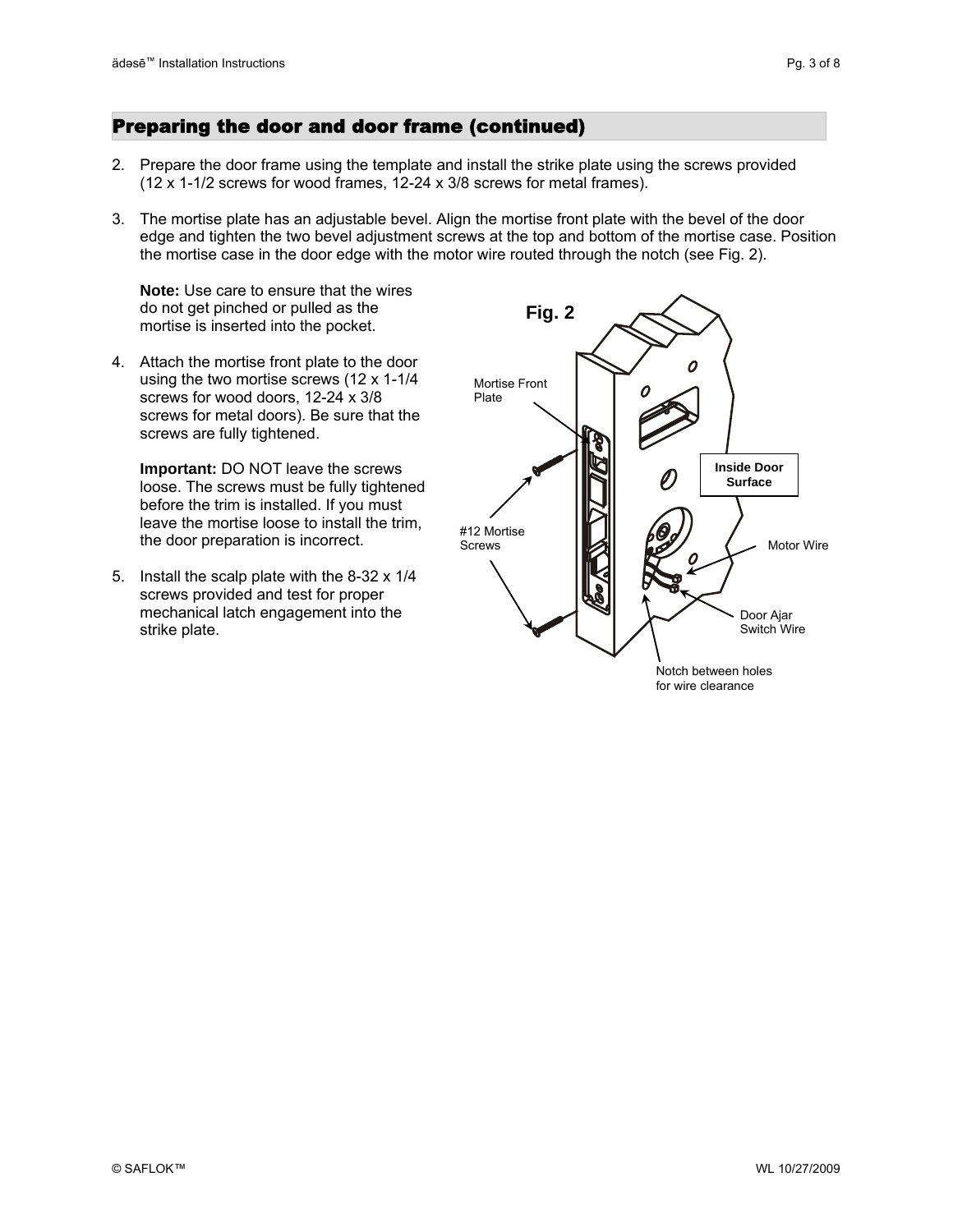## Preparing the door and door frame (continued)

- 2. Prepare the door frame using the template and install the strike plate using the screws provided (12 x 1-1/2 screws for wood frames, 12-24 x 3/8 screws for metal frames).
- 3. The mortise plate has an adjustable bevel. Align the mortise front plate with the bevel of the door edge and tighten the two bevel adjustment screws at the top and bottom of the mortise case. Position the mortise case in the door edge with the motor wire routed through the notch (see Fig. 2).

**Note:** Use care to ensure that the wires do not get pinched or pulled as the mortise is inserted into the pocket.

4. Attach the mortise front plate to the door using the two mortise screws (12 x 1-1/4 screws for wood doors, 12-24 x 3/8 screws for metal doors). Be sure that the screws are fully tightened.

**Important:** DO NOT leave the screws loose. The screws must be fully tightened before the trim is installed. If you must leave the mortise loose to install the trim, the door preparation is incorrect.

5. Install the scalp plate with the 8-32 x 1/4 screws provided and test for proper mechanical latch engagement into the strike plate.

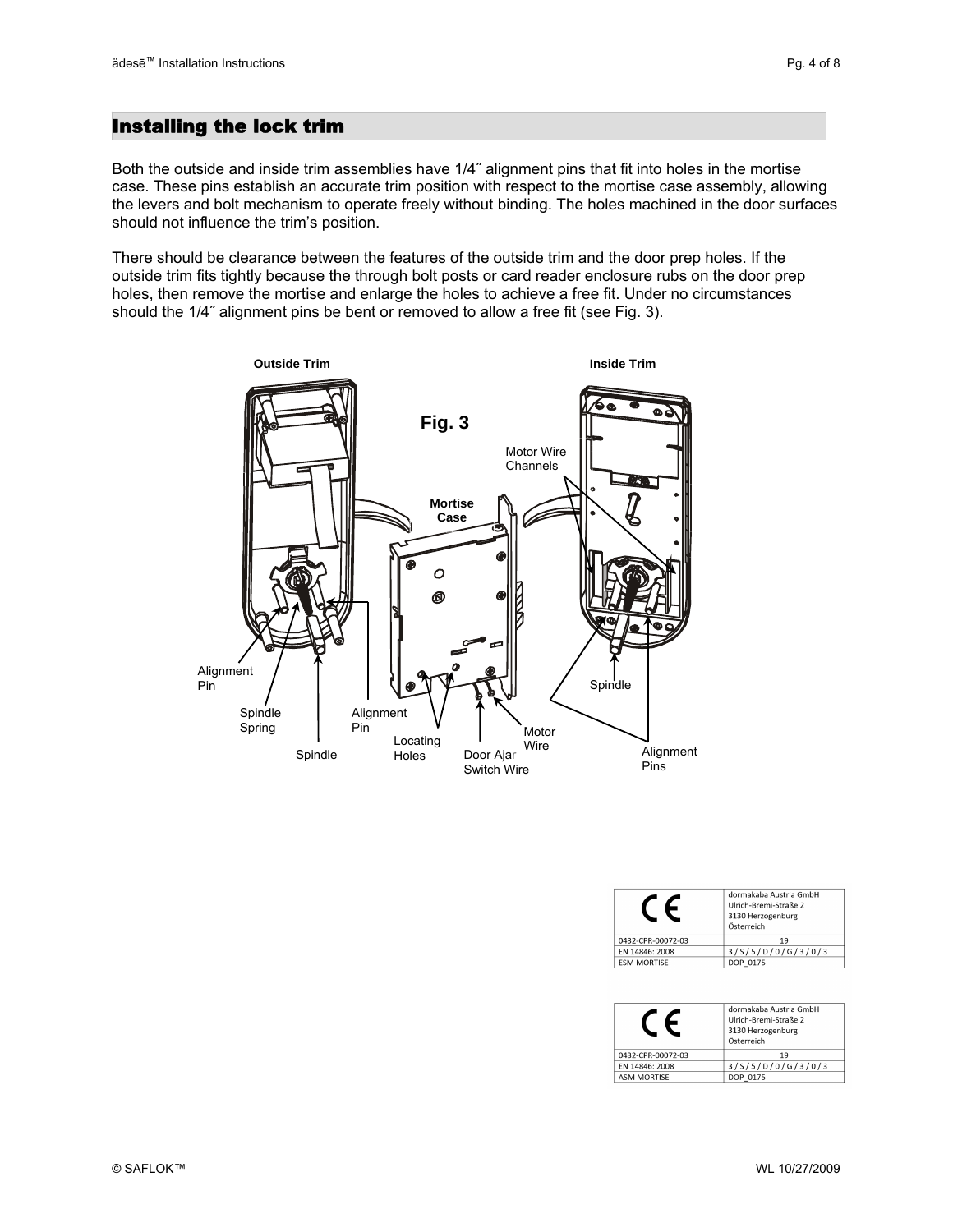## Installing the lock trim

Both the outside and inside trim assemblies have 1/4˝ alignment pins that fit into holes in the mortise case. These pins establish an accurate trim position with respect to the mortise case assembly, allowing the levers and bolt mechanism to operate freely without binding. The holes machined in the door surfaces should not influence the trim's position.

There should be clearance between the features of the outside trim and the door prep holes. If the outside trim fits tightly because the through bolt posts or card reader enclosure rubs on the door prep holes, then remove the mortise and enlarge the holes to achieve a free fit. Under no circumstances should the 1/4˝ alignment pins be bent or removed to allow a free fit (see Fig. 3).



|                    | dormakaba Austria GmbH<br>Ulrich-Bremi-Straße 2<br>3130 Herzogenburg<br>Österreich |
|--------------------|------------------------------------------------------------------------------------|
| 0432-CPR-00072-03  | 19                                                                                 |
| EN 14846: 2008     | 3/5/5/D/0/G/3/0/3                                                                  |
| <b>ESM MORTISE</b> | DOP 0175                                                                           |

|                    | dormakaba Austria GmbH<br>Ulrich-Bremi-Straße 2<br>3130 Herzogenburg<br>Österreich |
|--------------------|------------------------------------------------------------------------------------|
| 0432-CPR-00072-03  | 19                                                                                 |
| EN 14846: 2008     | 3/5/5/D/0/G/3/0/3                                                                  |
| <b>ASM MORTISE</b> | DOP 0175                                                                           |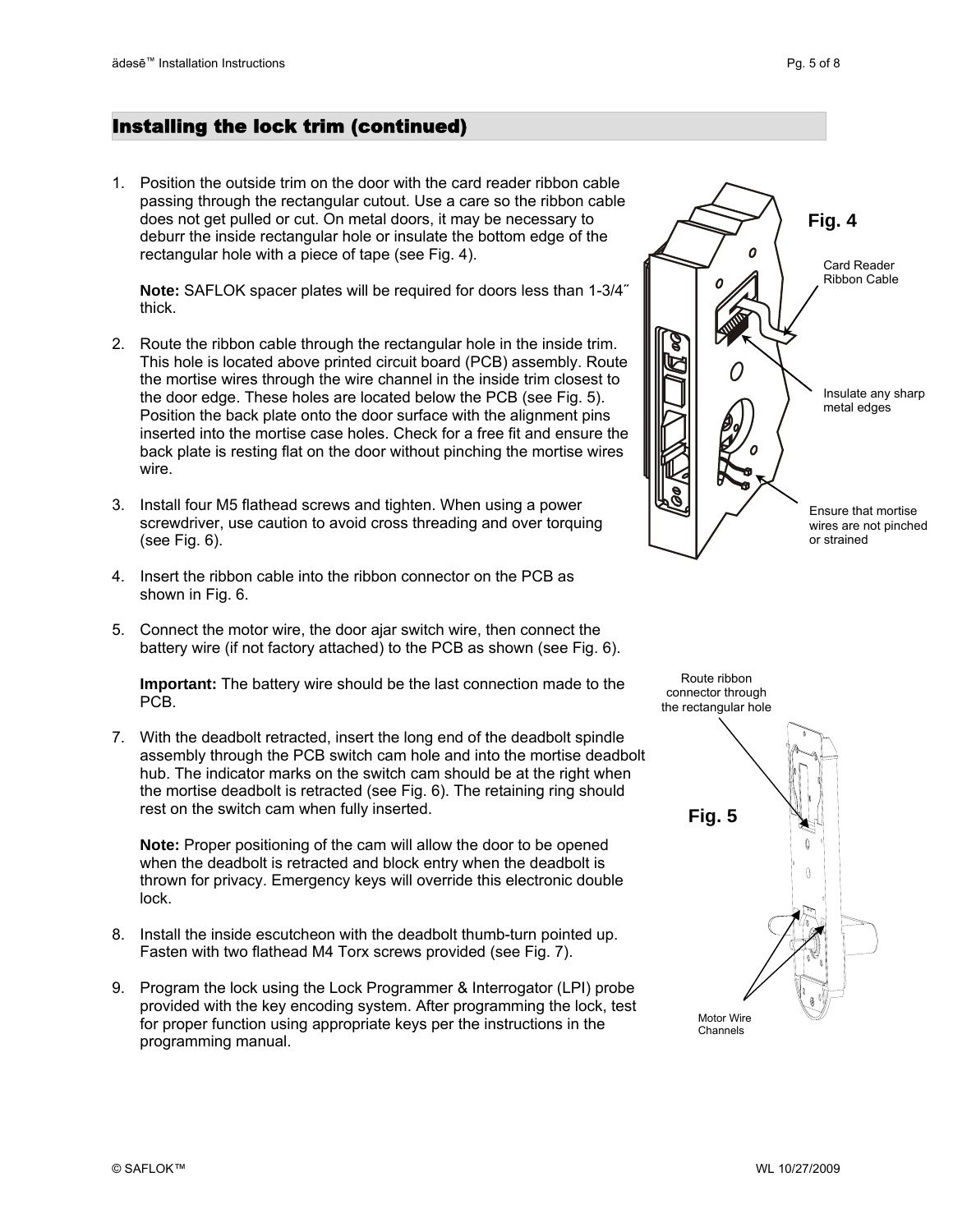1. Position the outside trim on the door with the card reader ribbon cable passing through the rectangular cutout. Use a care so the ribbon cable does not get pulled or cut. On metal doors, it may be necessary to deburr the inside rectangular hole or insulate the bottom edge of the rectangular hole with a piece of tape (see Fig. 4).

**Note:** SAFLOK spacer plates will be required for doors less than 1-3/4 ˝ thick.

- inserted into the mortise case holes. Check for a free fit and ensure the 2. Route the ribbon cable through the rectangular hole in the inside trim. This hole is located above printed circuit board (PCB) assembly. Route the mortise wires through the wire channel in the inside trim closest to the door edge. These holes are located below the PCB (see Fig. 5). Position the back plate onto the door surface with the alignment pins back plate is resting flat on the door without pinching the mortise wires wire.
- 3. Install four M5 flathead screws and tighten. When using a power screwdriver, use caution to avoid cross threading and over torquing (see Fig. 6).
- 4. Insert the ribbon cable into the ribbon connector on the PCB as shown in Fig. 6.
- 5. Connect the motor wire, the door ajar switch wire, then connect the battery wire (if not factory attached) to the PCB as shown (see Fig. 6).

**Important:** The battery wire should be the last connection made to the PCB.

7. With the deadbolt retracted, insert the long end of the deadbolt spindle assembly through the PCB switch cam hole and into the mortise deadbolt hub. The indicator marks on the switch cam should be at the right when the mortise deadbolt is retracted (see Fig. 6). The retaining ring should rest on the switch cam when fully inserted. **Fig. 5 Fig. 5** 

**Note:** Proper positioning of the cam will allow the door to be opened when the deadbolt is retracted and block entry when the deadbolt is thrown for privacy. Emergency keys will override this electronic double lock.

- 8. Install the inside escutcheon with the deadbolt thumb-turn pointed up. Fasten with two flathead M4 Torx screws provided (see Fig. 7).
- 9. Program the lock using the Lock Programmer & Interrogator (LPI) probe provided with the key encoding system. After programming the lock, test for proper function using appropriate keys per the instructions in the programming manual.



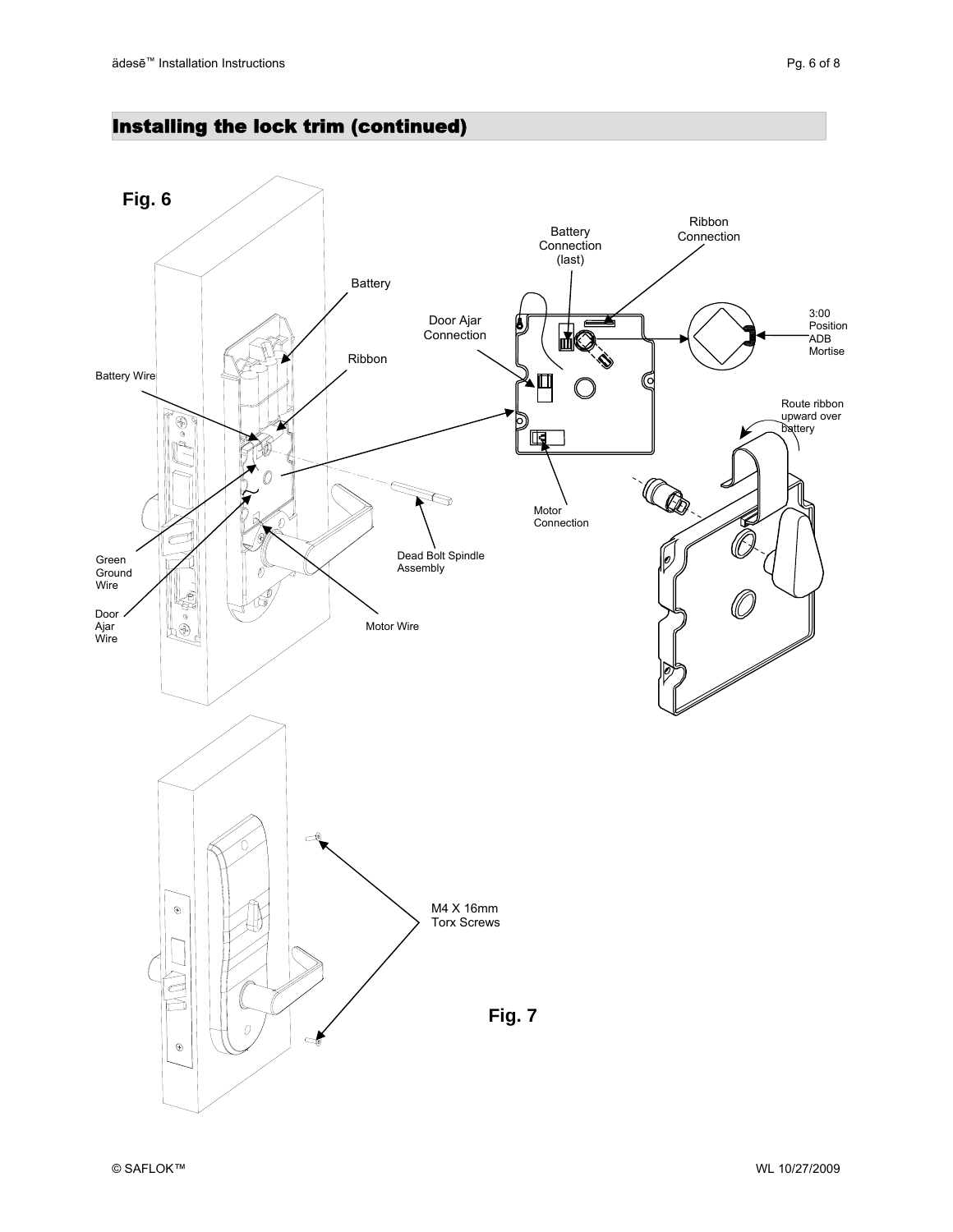## Installing the lock trim (continued)

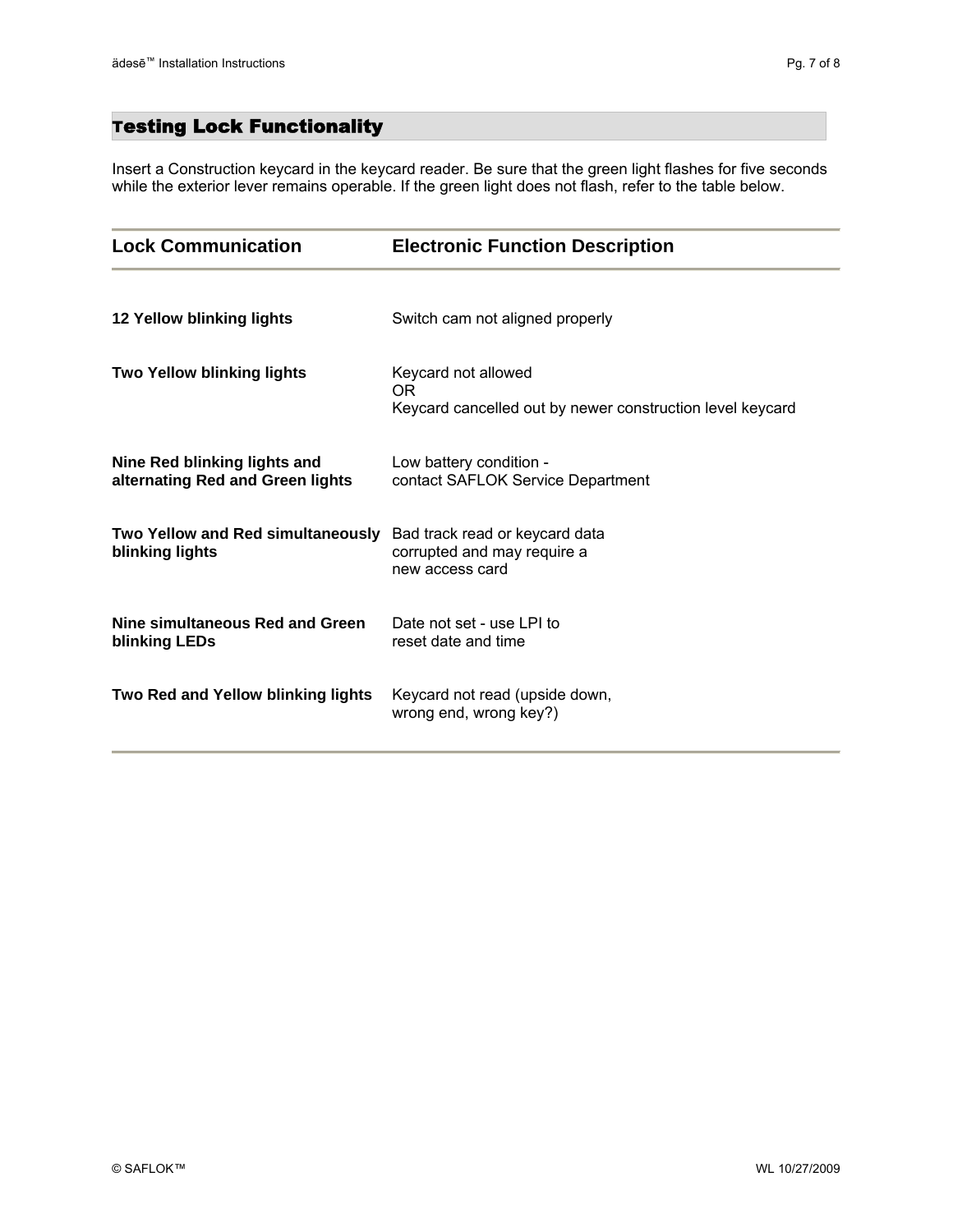## Testing Lock Functionality

Insert a Construction keycard in the keycard reader. Be sure that the green light flashes for five seconds while the exterior lever remains operable. If the green light does not flash, refer to the table below.

| <b>Lock Communication</b>                                        | <b>Electronic Function Description</b>                                                  |
|------------------------------------------------------------------|-----------------------------------------------------------------------------------------|
| 12 Yellow blinking lights                                        | Switch cam not aligned properly                                                         |
| <b>Two Yellow blinking lights</b>                                | Keycard not allowed<br>OR.<br>Keycard cancelled out by newer construction level keycard |
| Nine Red blinking lights and<br>alternating Red and Green lights | Low battery condition -<br>contact SAFLOK Service Department                            |
| Two Yellow and Red simultaneously<br>blinking lights             | Bad track read or keycard data<br>corrupted and may require a<br>new access card        |
| Nine simultaneous Red and Green<br>blinking LEDs                 | Date not set - use LPI to<br>reset date and time                                        |
| Two Red and Yellow blinking lights                               | Keycard not read (upside down,<br>wrong end, wrong key?)                                |